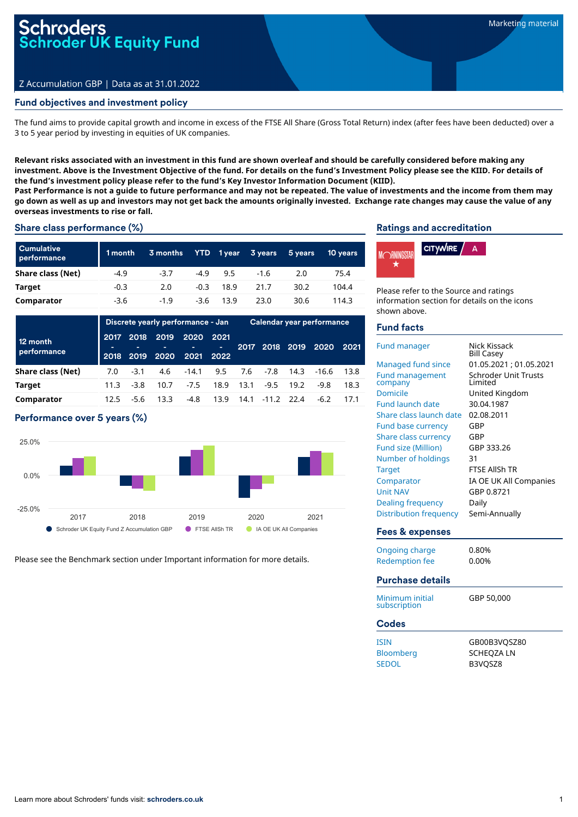# i<mark>r0ders</mark><br>roder UK Equity Fund

## Z Accumulation GBP | Data as at 31.01.2022

## Fund objectives and investment policy

The fund aims to provide capital growth and income in excess of the FTSE All Share (Gross Total Return) index (after fees have been deducted) over a 3 to 5 year period by investing in equities of UK companies.

Relevant risks associated with an investment in this fund are shown overleaf and should be carefully considered before making any investment. Above is the Investment Objective of the fund. For details on the fund's Investment Policy please see the KIID. For details of **the fund's investment policy please refer to the fund's Key Investor Information Document (KIID).**

Past Performance is not a guide to future performance and may not be repeated. The value of investments and the income from them may go down as well as up and investors may not get back the amounts originally invested. Exchange rate changes may cause the value of any **overseas investments to rise or fall.**

#### Share class performance (%)

| <b>Cumulative</b><br>performance | 1 month | 3 months |        | YTD 1year | 3 years | 5 years | <b>10 years</b> |
|----------------------------------|---------|----------|--------|-----------|---------|---------|-----------------|
| Share class (Net)                | $-4.9$  | $-3.7$   | $-4.9$ | 9.5       | $-1.6$  | 2.0     | 75.4            |
| Target                           | $-0.3$  | 2.0      | $-0.3$ | 18.9      | 21.7    | 30.2    | 104.4           |
| Comparator                       | $-3.6$  | $-1.9$   | $-3.6$ | 13.9      | 23.0    | 30.6    | 114.3           |

|                         |              | Discrete yearly performance - Jan |                   |                        |           | Calendar year performance |                 |      |            |       |
|-------------------------|--------------|-----------------------------------|-------------------|------------------------|-----------|---------------------------|-----------------|------|------------|-------|
| 12 month<br>performance | 2017<br>2018 | 2018                              | 2019<br>2019 2020 | 2020<br>2021 2022      | 2021<br>٠ | 2017                      | 2018            | 2019 | 2020       | 2021  |
| Share class (Net)       | 7.0          | $-3.1$                            |                   | 4.6 -14.1 9.5 7.6 -7.8 |           |                           |                 |      | 14.3 -16.6 | -13.8 |
| <b>Target</b>           | 11.3         | $-3.8$                            | 10.7              | $-7.5$                 | 18.9      | 13.1                      | $-9.5$          | 19.2 | $-9.8$     | 18.3  |
| Comparator              | 12.5         | $-5.6$                            | 13.3              | -4.8                   | 13.9      |                           | 14.1 -11.2 22.4 |      | $-6.2$     |       |

### Performance over 5 years (%)



Please see the Benchmark section under Important information for more details.

#### Ratings and accreditation



Please refer to the Source and ratings information section for details on the icons shown above.

#### Fund facts

| <b>Fund manager</b>             | Nick Kissack<br><b>Bill Casey</b> |
|---------------------------------|-----------------------------------|
| <b>Managed fund since</b>       | 01.05.2021; 01.05.2021            |
| <b>Fund management</b>          | <b>Schroder Unit Trusts</b>       |
| company                         | I imited                          |
| <b>Domicile</b>                 | United Kingdom                    |
| <b>Fund launch date</b>         | 30.04.1987                        |
| Share class launch date         | 02.08.2011                        |
| <b>Fund base currency</b>       | GBP                               |
| <b>Share class currency</b>     | GBP                               |
| <b>Fund size (Million)</b>      | GBP 333.26                        |
| Number of holdings              | 31                                |
| <b>Target</b>                   | <b>FTSF AllSh TR</b>              |
| Comparator                      | IA OE UK All Companies            |
| <b>Unit NAV</b>                 | GBP 0.8721                        |
| Dealing frequency               | Daily                             |
| <b>Distribution frequency</b>   | Semi-Annually                     |
| <b>Fees &amp; expenses</b>      |                                   |
| <b>Ongoing charge</b>           | 0.80%                             |
| <b>Redemption fee</b>           | 0.00%                             |
| <b>Purchase details</b>         |                                   |
|                                 |                                   |
| Minimum initial<br>subscription | GBP 50,000                        |
| <b>Codes</b>                    |                                   |
| <b>ISIN</b>                     | GB00B3VQSZ80                      |
| Bloomberg                       | <b>SCHEOZA LN</b>                 |
| <b>SEDOL</b>                    | B3VOSZ8                           |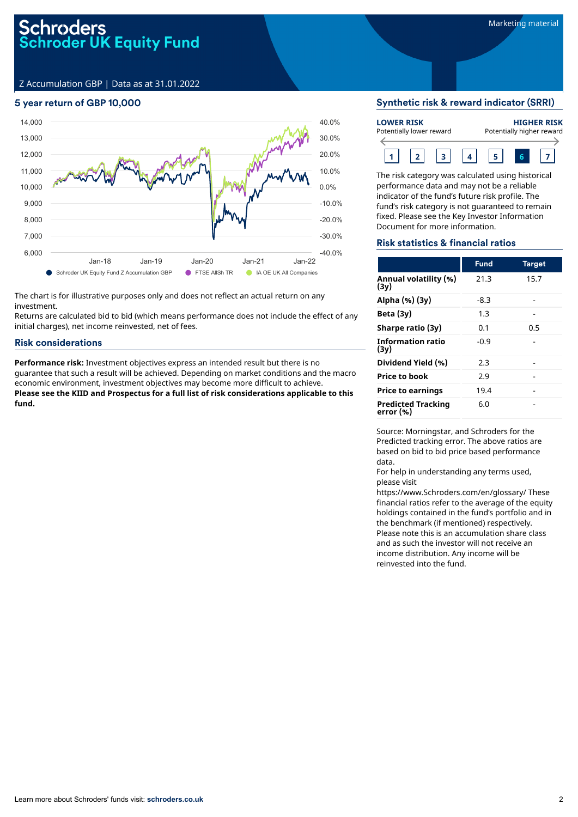# Schroders<br>Schroder UK Equity Fund

Z Accumulation GBP | Data as at 31.01.2022

## 5 year return of GBP 10,000



The chart is for illustrative purposes only and does not reflect an actual return on any investment.

Returns are calculated bid to bid (which means performance does not include the effect of any initial charges), net income reinvested, net of fees.

#### Risk considerations

**Performance risk:** Investment objectives express an intended result but there is no guarantee that such a result will be achieved. Depending on market conditions and the macro economic environment, investment objectives may become more difficult to achieve. **Please see the KIID and Prospectus for a full list of risk considerations applicable to this fund.**

#### Synthetic risk & reward indicator (SRRI)

| <b>LOWER RISK</b>        |  |  |  | <b>HIGHER RISK</b>        |  |  |  |  |  |
|--------------------------|--|--|--|---------------------------|--|--|--|--|--|
| Potentially lower reward |  |  |  | Potentially higher reward |  |  |  |  |  |
|                          |  |  |  |                           |  |  |  |  |  |

The risk category was calculated using historical performance data and may not be a reliable indicator of the fund's future risk profile. The fund's risk category is not guaranteed to remain fixed. Please see the Key Investor Information Document for more information.

### Risk statistics & financial ratios

|                                        | <b>Fund</b> | <b>Target</b> |
|----------------------------------------|-------------|---------------|
| Annual volatility (%)<br>(3y)          | 21.3        | 15.7          |
| Alpha (%) (3y)                         | $-8.3$      |               |
| Beta $(3y)$                            | 1.3         |               |
| Sharpe ratio (3y)                      | 0.1         | 0.5           |
| <b>Information ratio</b><br>(3v)       | -0.9        |               |
| Dividend Yield (%)                     | 2.3         |               |
| <b>Price to book</b>                   | 2.9         |               |
| <b>Price to earnings</b>               | 19.4        |               |
| <b>Predicted Tracking</b><br>error (%) | 6.0         |               |

Source: Morningstar, and Schroders for the Predicted tracking error. The above ratios are based on bid to bid price based performance data.

For help in understanding any terms used, please visit

https://www.Schroders.com/en/glossary/ These financial ratios refer to the average of the equity holdings contained in the fund's portfolio and in the benchmark (if mentioned) respectively. Please note this is an accumulation share class and as such the investor will not receive an income distribution. Any income will be reinvested into the fund.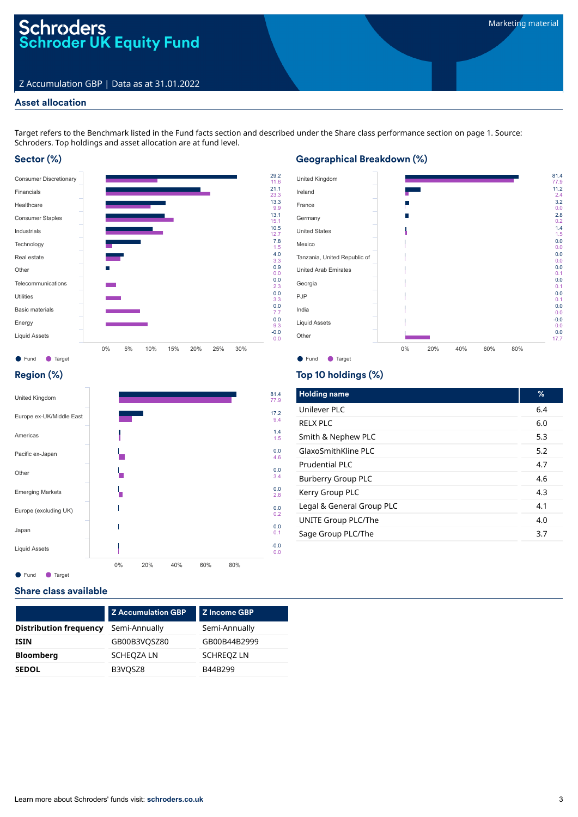## Z Accumulation GBP | Data as at 31.01.2022

## Asset allocation

Target refers to the Benchmark listed in the Fund facts section and described under the Share class performance section on page 1. Source: Schroders. Top holdings and asset allocation are at fund level.

## Sector (%)



## Geographical Breakdown (%)



## Region (%)



### ● Fund ● Target

## Share class available

|                               | <b>Z Accumulation GBP</b> | Z Income GBP      |
|-------------------------------|---------------------------|-------------------|
| <b>Distribution frequency</b> | Semi-Annually             | Semi-Annually     |
| <b>ISIN</b>                   | GB00B3VQSZ80              | GB00B44B2999      |
| <b>Bloomberg</b>              | SCHEQZA LN                | <b>SCHREQZ LN</b> |
| <b>SEDOL</b>                  | B3VQSZ8                   | B44B299           |

## Top 10 holdings (%)

| <b>Holding name</b>       | %   |
|---------------------------|-----|
| Unilever PLC              | 6.4 |
| RFIX PIC                  | 6.0 |
| Smith & Nephew PLC        | 5.3 |
| GlaxoSmithKline PLC       | 5.2 |
| Prudential PLC            | 4.7 |
| <b>Burberry Group PLC</b> | 4.6 |
| Kerry Group PLC           | 4.3 |
| Legal & General Group PLC | 4.1 |
| UNITE Group PLC/The       | 4.0 |
| Sage Group PLC/The        | 3.7 |